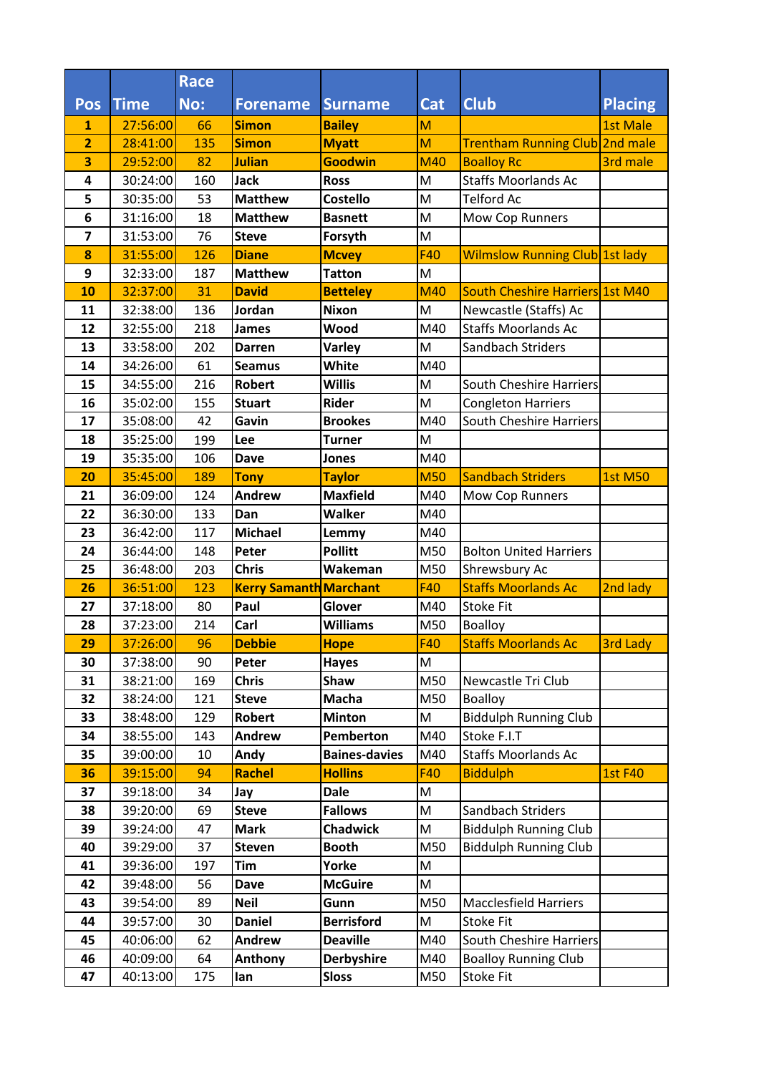|                |                      | <b>Race</b> |                                |                                   |            |                                       |                 |
|----------------|----------------------|-------------|--------------------------------|-----------------------------------|------------|---------------------------------------|-----------------|
| Pos            | <b>Time</b>          | No:         | <b>Forename</b>                | <b>Surname</b>                    | <b>Cat</b> | <b>Club</b>                           | <b>Placing</b>  |
| 1              | 27:56:00             | 66          | <b>Simon</b>                   | <b>Bailey</b>                     | M          |                                       | <b>1st Male</b> |
| $\overline{2}$ | 28:41:00             | 135         | <b>Simon</b>                   | <b>Myatt</b>                      | M          | Trentham Running Club 2nd male        |                 |
| 3              | 29:52:00             | 82          | <b>Julian</b>                  | <b>Goodwin</b>                    | <b>M40</b> | <b>Boalloy Rc</b>                     | 3rd male        |
| 4              | 30:24:00             | 160         | <b>Jack</b>                    | <b>Ross</b>                       | M          | <b>Staffs Moorlands Ac</b>            |                 |
| 5              | 30:35:00             | 53          | <b>Matthew</b>                 | <b>Costello</b>                   | M          | <b>Telford Ac</b>                     |                 |
| 6              | 31:16:00             | 18          | <b>Matthew</b>                 | <b>Basnett</b>                    | M          | Mow Cop Runners                       |                 |
| 7              | 31:53:00             | 76          | <b>Steve</b>                   | Forsyth                           | M          |                                       |                 |
| 8              | 31:55:00             | 126         | <b>Diane</b>                   | <b>Mcvey</b>                      | <b>F40</b> | <b>Wilmslow Running Club 1st lady</b> |                 |
| 9              | 32:33:00             | 187         | <b>Matthew</b>                 | <b>Tatton</b>                     | M          |                                       |                 |
| 10             | 32:37:00             | 31          | <b>David</b>                   | <b>Betteley</b>                   | M40        | South Cheshire Harriers 1st M40       |                 |
| 11             | 32:38:00             | 136         | Jordan                         | <b>Nixon</b>                      | M          | Newcastle (Staffs) Ac                 |                 |
| 12             | 32:55:00             | 218         | <b>James</b>                   | Wood                              | M40        | <b>Staffs Moorlands Ac</b>            |                 |
| 13             | 33:58:00             | 202         | <b>Darren</b>                  | <b>Varley</b>                     | M          | Sandbach Striders                     |                 |
| 14             | 34:26:00             | 61          | <b>Seamus</b>                  | White                             | M40        |                                       |                 |
| 15             | 34:55:00             | 216         | <b>Robert</b>                  | <b>Willis</b>                     | M          | South Cheshire Harriers               |                 |
| 16             | 35:02:00             | 155         | <b>Stuart</b>                  | <b>Rider</b>                      | M          | <b>Congleton Harriers</b>             |                 |
| 17             | 35:08:00             | 42          | Gavin                          | <b>Brookes</b>                    | M40        | South Cheshire Harriers               |                 |
| 18             | 35:25:00             | 199         | Lee                            | <b>Turner</b>                     | M          |                                       |                 |
| 19             | 35:35:00             | 106         | <b>Dave</b>                    | <b>Jones</b>                      | M40        |                                       |                 |
| 20             | 35:45:00             | 189         | <b>Tony</b>                    | <b>Taylor</b>                     | <b>M50</b> | <b>Sandbach Striders</b>              | <b>1st M50</b>  |
| 21             | 36:09:00             | 124         | <b>Andrew</b>                  | <b>Maxfield</b>                   | M40        | Mow Cop Runners                       |                 |
| 22             | 36:30:00             | 133         | Dan                            | <b>Walker</b>                     | M40        |                                       |                 |
| 23             | 36:42:00             | 117         | <b>Michael</b>                 | Lemmy                             | M40        |                                       |                 |
| 24             | 36:44:00             | 148         | Peter                          | <b>Pollitt</b>                    | M50        | <b>Bolton United Harriers</b>         |                 |
| 25             | 36:48:00             | 203         | <b>Chris</b>                   | Wakeman                           | M50        | Shrewsbury Ac                         |                 |
| 26             | 36:51:00             | 123         | <b>Kerry Samanth Marchant</b>  |                                   | <b>F40</b> | <b>Staffs Moorlands Ac</b>            | 2nd lady        |
| 27             | 37:18:00             | 80          | Paul                           | Glover                            | M40        | <b>Stoke Fit</b>                      |                 |
| 28             | 37:23:00             | 214         | Carl                           | <b>Williams</b>                   | M50        | <b>Boalloy</b>                        |                 |
| 29             | 37:26:00             | 96          | <b>Debbie</b>                  | <b>Hope</b>                       | F40        | <b>Staffs Moorlands Ac</b>            | <b>3rd Lady</b> |
| 30             | 37:38:00             | 90          | Peter                          | <b>Hayes</b>                      | M          |                                       |                 |
| 31             | 38:21:00             | 169         | <b>Chris</b>                   | <b>Shaw</b>                       | M50        | Newcastle Tri Club                    |                 |
| 32             | 38:24:00             | 121         | <b>Steve</b>                   | Macha                             | M50        | <b>Boalloy</b>                        |                 |
| 33             | 38:48:00             | 129         | <b>Robert</b><br><b>Andrew</b> | <b>Minton</b>                     | M          | <b>Biddulph Running Club</b>          |                 |
| 34<br>35       | 38:55:00<br>39:00:00 | 143         |                                | Pemberton<br><b>Baines-davies</b> | M40<br>M40 | Stoke F.I.T<br>Staffs Moorlands Ac    |                 |
| 36             | 39:15:00             | 10<br>94    | Andy<br><b>Rachel</b>          | <b>Hollins</b>                    | <b>F40</b> | <b>Biddulph</b>                       | <b>1st F40</b>  |
| 37             | 39:18:00             | 34          | Jay                            | <b>Dale</b>                       | M          |                                       |                 |
| 38             | 39:20:00             | 69          | <b>Steve</b>                   | <b>Fallows</b>                    | M          | Sandbach Striders                     |                 |
| 39             | 39:24:00             | 47          | <b>Mark</b>                    | <b>Chadwick</b>                   | M          | <b>Biddulph Running Club</b>          |                 |
| 40             | 39:29:00             | 37          | <b>Steven</b>                  | <b>Booth</b>                      | M50        | <b>Biddulph Running Club</b>          |                 |
| 41             | 39:36:00             | 197         | <b>Tim</b>                     | Yorke                             | M          |                                       |                 |
| 42             | 39:48:00             | 56          | <b>Dave</b>                    | <b>McGuire</b>                    | M          |                                       |                 |
| 43             | 39:54:00             | 89          | <b>Neil</b>                    | Gunn                              | M50        | <b>Macclesfield Harriers</b>          |                 |
| 44             | 39:57:00             | 30          | <b>Daniel</b>                  | <b>Berrisford</b>                 | M          | <b>Stoke Fit</b>                      |                 |
| 45             | 40:06:00             | 62          | Andrew                         | <b>Deaville</b>                   | M40        | <b>South Cheshire Harriers</b>        |                 |
| 46             | 40:09:00             | 64          | Anthony                        | <b>Derbyshire</b>                 | M40        | <b>Boalloy Running Club</b>           |                 |
| 47             | 40:13:00             | 175         | lan                            | <b>Sloss</b>                      | M50        | Stoke Fit                             |                 |
|                |                      |             |                                |                                   |            |                                       |                 |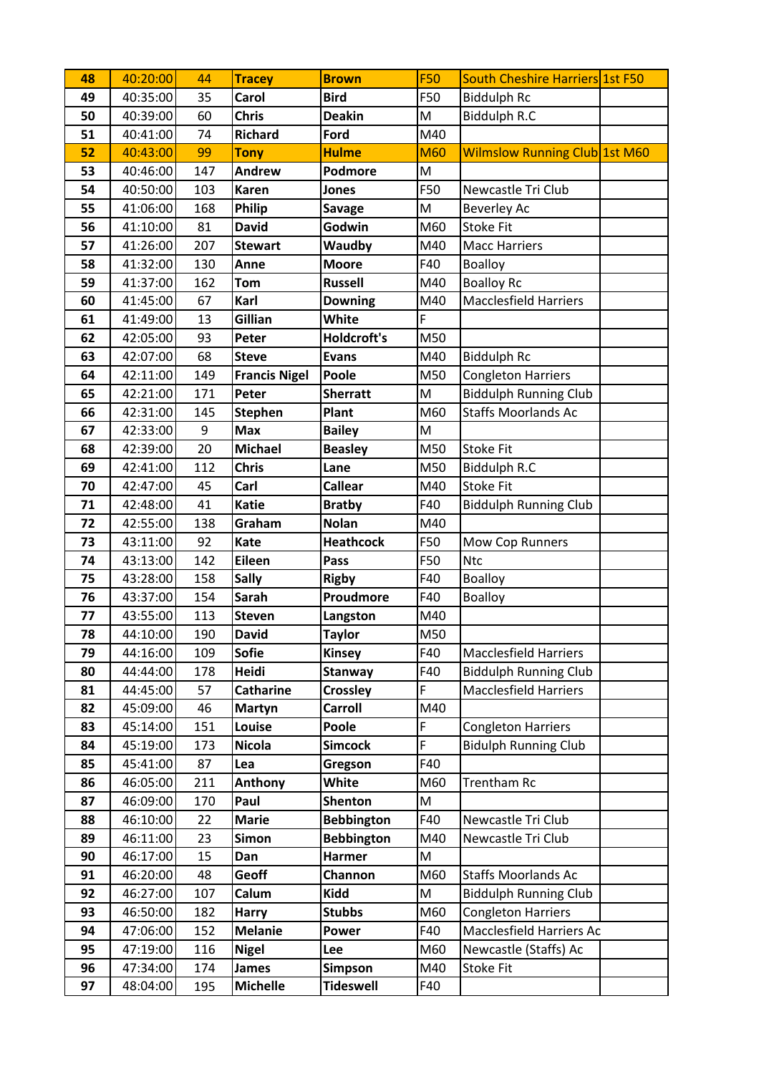| 48 | 40:20:00 | 44  | <b>Tracey</b>        | <b>Brown</b>       | <b>F50</b> | <b>South Cheshire Harriers 1st F50</b> |  |
|----|----------|-----|----------------------|--------------------|------------|----------------------------------------|--|
| 49 | 40:35:00 | 35  | Carol                | <b>Bird</b>        | F50        | <b>Biddulph Rc</b>                     |  |
| 50 | 40:39:00 | 60  | <b>Chris</b>         | <b>Deakin</b>      | M          | <b>Biddulph R.C</b>                    |  |
| 51 | 40:41:00 | 74  | <b>Richard</b>       | Ford               | M40        |                                        |  |
| 52 | 40:43:00 | 99  | <b>Tony</b>          | <b>Hulme</b>       | <b>M60</b> | <b>Wilmslow Running Club 1st M60</b>   |  |
| 53 | 40:46:00 | 147 | <b>Andrew</b>        | Podmore            | M          |                                        |  |
| 54 | 40:50:00 | 103 | <b>Karen</b>         | <b>Jones</b>       | F50        | Newcastle Tri Club                     |  |
| 55 | 41:06:00 | 168 | Philip               | <b>Savage</b>      | M          | Beverley Ac                            |  |
| 56 | 41:10:00 | 81  | <b>David</b>         | Godwin             | M60        | <b>Stoke Fit</b>                       |  |
| 57 | 41:26:00 | 207 | <b>Stewart</b>       | Waudby             | M40        | <b>Macc Harriers</b>                   |  |
| 58 | 41:32:00 | 130 | Anne                 | <b>Moore</b>       | F40        | <b>Boalloy</b>                         |  |
| 59 | 41:37:00 | 162 | <b>Tom</b>           | <b>Russell</b>     | M40        | <b>Boalloy Rc</b>                      |  |
| 60 | 41:45:00 | 67  | Karl                 | <b>Downing</b>     | M40        | <b>Macclesfield Harriers</b>           |  |
| 61 | 41:49:00 | 13  | Gillian              | White              | F          |                                        |  |
| 62 | 42:05:00 | 93  | Peter                | <b>Holdcroft's</b> | M50        |                                        |  |
| 63 | 42:07:00 | 68  | <b>Steve</b>         | <b>Evans</b>       | M40        | <b>Biddulph Rc</b>                     |  |
| 64 | 42:11:00 | 149 | <b>Francis Nigel</b> | Poole              | M50        | <b>Congleton Harriers</b>              |  |
| 65 | 42:21:00 | 171 | Peter                | <b>Sherratt</b>    | M          | <b>Biddulph Running Club</b>           |  |
| 66 | 42:31:00 | 145 | <b>Stephen</b>       | Plant              | M60        | <b>Staffs Moorlands Ac</b>             |  |
| 67 | 42:33:00 | 9   | <b>Max</b>           | <b>Bailey</b>      | M          |                                        |  |
| 68 | 42:39:00 | 20  | <b>Michael</b>       | <b>Beasley</b>     | M50        | <b>Stoke Fit</b>                       |  |
| 69 | 42:41:00 | 112 | <b>Chris</b>         | Lane               | M50        | Biddulph R.C                           |  |
| 70 | 42:47:00 | 45  | Carl                 | <b>Callear</b>     | M40        | <b>Stoke Fit</b>                       |  |
| 71 | 42:48:00 | 41  | <b>Katie</b>         | <b>Bratby</b>      | F40        | <b>Biddulph Running Club</b>           |  |
| 72 | 42:55:00 | 138 | Graham               | <b>Nolan</b>       | M40        |                                        |  |
| 73 | 43:11:00 | 92  | Kate                 | <b>Heathcock</b>   | F50        | Mow Cop Runners                        |  |
| 74 | 43:13:00 | 142 | Eileen               | Pass               | F50        | <b>Ntc</b>                             |  |
| 75 | 43:28:00 | 158 | <b>Sally</b>         | <b>Rigby</b>       | F40        | Boalloy                                |  |
| 76 | 43:37:00 | 154 | <b>Sarah</b>         | Proudmore          | F40        | <b>Boalloy</b>                         |  |
| 77 | 43:55:00 | 113 | <b>Steven</b>        | Langston           | M40        |                                        |  |
| 78 | 44:10:00 | 190 | <b>David</b>         | <b>Taylor</b>      | M50        |                                        |  |
| 79 | 44:16:00 | 109 | <b>Sofie</b>         | <b>Kinsey</b>      | F40        | <b>Macclesfield Harriers</b>           |  |
| 80 | 44:44:00 | 178 | Heidi                | <b>Stanway</b>     | F40        | <b>Biddulph Running Club</b>           |  |
| 81 | 44:45:00 | 57  | <b>Catharine</b>     | <b>Crossley</b>    | F          | <b>Macclesfield Harriers</b>           |  |
| 82 | 45:09:00 | 46  | Martyn               | <b>Carroll</b>     | M40        |                                        |  |
| 83 | 45:14:00 | 151 | Louise               | Poole              | F          | <b>Congleton Harriers</b>              |  |
| 84 | 45:19:00 | 173 | <b>Nicola</b>        | <b>Simcock</b>     | F          | <b>Bidulph Running Club</b>            |  |
| 85 | 45:41:00 | 87  | Lea                  | Gregson            | F40        |                                        |  |
| 86 | 46:05:00 | 211 | Anthony              | White              | M60        | Trentham Rc                            |  |
| 87 | 46:09:00 | 170 | Paul                 | Shenton            | M          |                                        |  |
| 88 | 46:10:00 | 22  | <b>Marie</b>         | <b>Bebbington</b>  | F40        | Newcastle Tri Club                     |  |
| 89 | 46:11:00 | 23  | Simon                | <b>Bebbington</b>  | M40        | Newcastle Tri Club                     |  |
| 90 | 46:17:00 | 15  | Dan                  | Harmer             | M          |                                        |  |
| 91 | 46:20:00 | 48  | Geoff                | Channon            | M60        | <b>Staffs Moorlands Ac</b>             |  |
| 92 | 46:27:00 | 107 | Calum                | <b>Kidd</b>        | M          | <b>Biddulph Running Club</b>           |  |
| 93 | 46:50:00 | 182 | <b>Harry</b>         | <b>Stubbs</b>      | M60        | <b>Congleton Harriers</b>              |  |
| 94 | 47:06:00 | 152 | <b>Melanie</b>       | Power              | F40        | Macclesfield Harriers Ac               |  |
| 95 | 47:19:00 | 116 | <b>Nigel</b>         | Lee                | M60        | Newcastle (Staffs) Ac                  |  |
| 96 | 47:34:00 | 174 | <b>James</b>         | Simpson            | M40        | <b>Stoke Fit</b>                       |  |
| 97 | 48:04:00 | 195 | <b>Michelle</b>      | <b>Tideswell</b>   | F40        |                                        |  |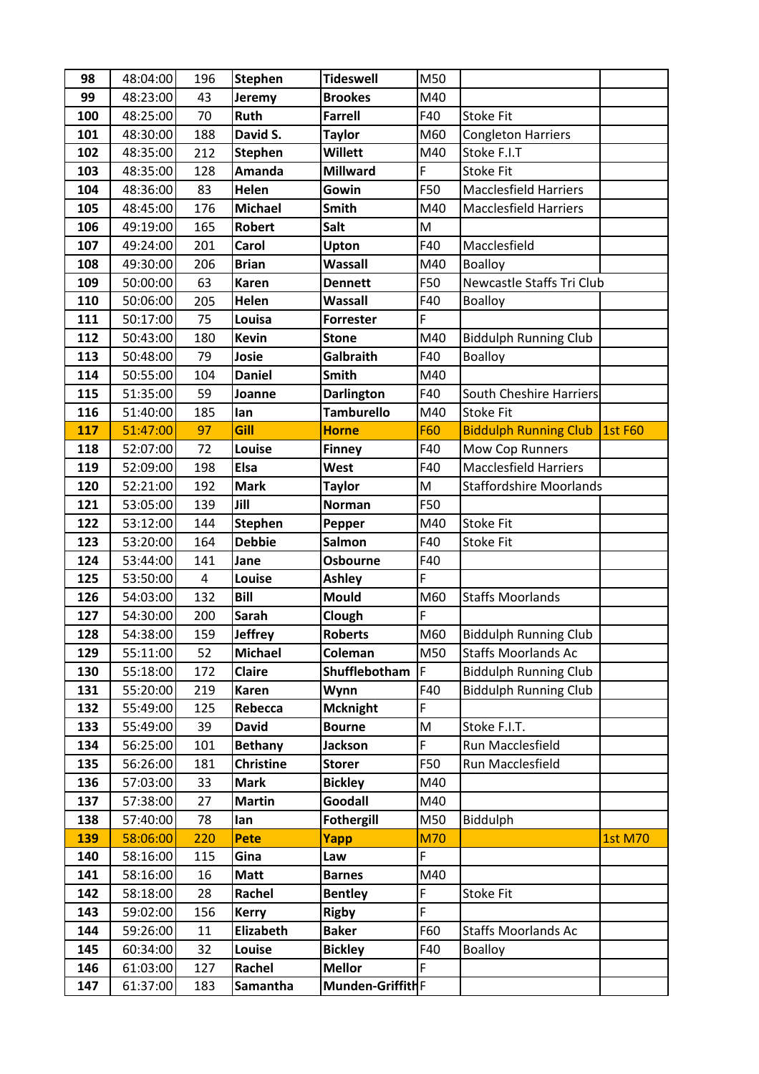| 98         | 48:04:00             | 196        | <b>Stephen</b>     | <b>Tideswell</b>                  | M50         |                                |                |
|------------|----------------------|------------|--------------------|-----------------------------------|-------------|--------------------------------|----------------|
| 99         | 48:23:00             | 43         | Jeremy             | <b>Brookes</b>                    | M40         |                                |                |
| 100        | 48:25:00             | 70         | Ruth               | <b>Farrell</b>                    | F40         | <b>Stoke Fit</b>               |                |
| 101        | 48:30:00             | 188        | David S.           | <b>Taylor</b>                     | M60         | <b>Congleton Harriers</b>      |                |
| 102        | 48:35:00             | 212        | <b>Stephen</b>     | <b>Willett</b>                    | M40         | Stoke F.I.T                    |                |
| 103        | 48:35:00             | 128        | Amanda             | <b>Millward</b>                   | F           | <b>Stoke Fit</b>               |                |
| 104        | 48:36:00             | 83         | Helen              | Gowin                             | F50         | <b>Macclesfield Harriers</b>   |                |
| 105        | 48:45:00             | 176        | <b>Michael</b>     | Smith                             | M40         | <b>Macclesfield Harriers</b>   |                |
| 106        | 49:19:00             | 165        | Robert             | Salt                              | M           |                                |                |
| 107        | 49:24:00             | 201        | Carol              | Upton                             | F40         | Macclesfield                   |                |
| 108        | 49:30:00             | 206        | <b>Brian</b>       | Wassall                           | M40         | <b>Boalloy</b>                 |                |
| 109        | 50:00:00             | 63         | <b>Karen</b>       | <b>Dennett</b>                    | F50         | Newcastle Staffs Tri Club      |                |
| 110        | 50:06:00             | 205        | Helen              | <b>Wassall</b>                    | F40         | <b>Boalloy</b>                 |                |
| 111        | 50:17:00             | 75         | Louisa             | <b>Forrester</b>                  | F           |                                |                |
| 112        | 50:43:00             | 180        | <b>Kevin</b>       | <b>Stone</b>                      | M40         | <b>Biddulph Running Club</b>   |                |
| 113        | 50:48:00             | 79         | Josie              | Galbraith                         | F40         | <b>Boalloy</b>                 |                |
| 114        | 50:55:00             | 104        | <b>Daniel</b>      | Smith                             | M40         |                                |                |
| 115        | 51:35:00             | 59         | Joanne             | <b>Darlington</b>                 | F40         | South Cheshire Harriers        |                |
| 116        | 51:40:00             | 185        | lan                | <b>Tamburello</b>                 | M40         | <b>Stoke Fit</b>               |                |
| 117        | 51:47:00             | 97         | Gill               | <b>Horne</b>                      | <b>F60</b>  | <b>Biddulph Running Club</b>   | <b>1st F60</b> |
| 118        | 52:07:00             | 72         | Louise             | <b>Finney</b>                     | F40         | Mow Cop Runners                |                |
| 119        | 52:09:00             | 198        | <b>Elsa</b>        | West                              | F40         | <b>Macclesfield Harriers</b>   |                |
| 120        | 52:21:00             | 192        | <b>Mark</b>        | <b>Taylor</b>                     | M           | <b>Staffordshire Moorlands</b> |                |
| 121        | 53:05:00             | 139        | Jill               | <b>Norman</b>                     | F50         |                                |                |
| 122        | 53:12:00             | 144        | <b>Stephen</b>     | Pepper                            | M40         | <b>Stoke Fit</b>               |                |
| 123        | 53:20:00             | 164        | <b>Debbie</b>      | Salmon                            | F40         | <b>Stoke Fit</b>               |                |
| 124        | 53:44:00             | 141        | Jane               | Osbourne                          | F40         |                                |                |
| 125        | 53:50:00             | $\pmb{4}$  | Louise             | <b>Ashley</b>                     | F           |                                |                |
| 126        | 54:03:00             | 132        | <b>Bill</b>        | <b>Mould</b>                      | M60         | <b>Staffs Moorlands</b>        |                |
| 127        | 54:30:00             | 200        | <b>Sarah</b>       | Clough                            | F           |                                |                |
| 128        | 54:38:00             | 159        | <b>Jeffrey</b>     | <b>Roberts</b>                    | M60         | <b>Biddulph Running Club</b>   |                |
| 129        | 55:11:00             | 52         | <b>Michael</b>     | Coleman                           | M50         | <b>Staffs Moorlands Ac</b>     |                |
| 130        | 55:18:00             | 172        | Claire             | Shufflebotham                     | F           | <b>Biddulph Running Club</b>   |                |
| 131        | 55:20:00             | 219        | <b>Karen</b>       | Wynn                              | F40         | <b>Biddulph Running Club</b>   |                |
| 132        | 55:49:00             | 125        | Rebecca            | <b>Mcknight</b>                   | F           |                                |                |
| 133        | 55:49:00             | 39         | <b>David</b>       | <b>Bourne</b>                     | M           | Stoke F.I.T.                   |                |
| 134        | 56:25:00             | 101        | <b>Bethany</b>     | <b>Jackson</b>                    | F           | Run Macclesfield               |                |
| 135        | 56:26:00             | 181        | <b>Christine</b>   | <b>Storer</b>                     | F50         | Run Macclesfield               |                |
| 136        | 57:03:00             | 33         | <b>Mark</b>        | <b>Bickley</b>                    | M40         |                                |                |
| 137        | 57:38:00             | 27         | <b>Martin</b>      | Goodall                           | M40         |                                |                |
| 138        | 57:40:00             | 78         | lan                | <b>Fothergill</b>                 | M50         | Biddulph                       |                |
| 139        | 58:06:00             | 220        | Pete               | Yapp                              | <b>M70</b>  |                                | <b>1st M70</b> |
| 140        | 58:16:00             | 115        | Gina               | Law                               | F           |                                |                |
| 141        | 58:16:00             | 16         | <b>Matt</b>        | <b>Barnes</b>                     | M40         |                                |                |
| 142        |                      |            |                    |                                   |             |                                |                |
|            | 58:18:00             | 28         | Rachel             | <b>Bentley</b>                    | $\mathsf F$ | <b>Stoke Fit</b>               |                |
| 143        | 59:02:00             | 156        | <b>Kerry</b>       | <b>Rigby</b>                      | F           |                                |                |
| 144        | 59:26:00             | 11         | Elizabeth          | <b>Baker</b>                      | F60         | <b>Staffs Moorlands Ac</b>     |                |
| 145        | 60:34:00             | 32         | Louise             | <b>Bickley</b>                    | F40         | <b>Boalloy</b>                 |                |
| 146<br>147 | 61:03:00<br>61:37:00 | 127<br>183 | Rachel<br>Samantha | <b>Mellor</b><br>Munden-GriffithF | F           |                                |                |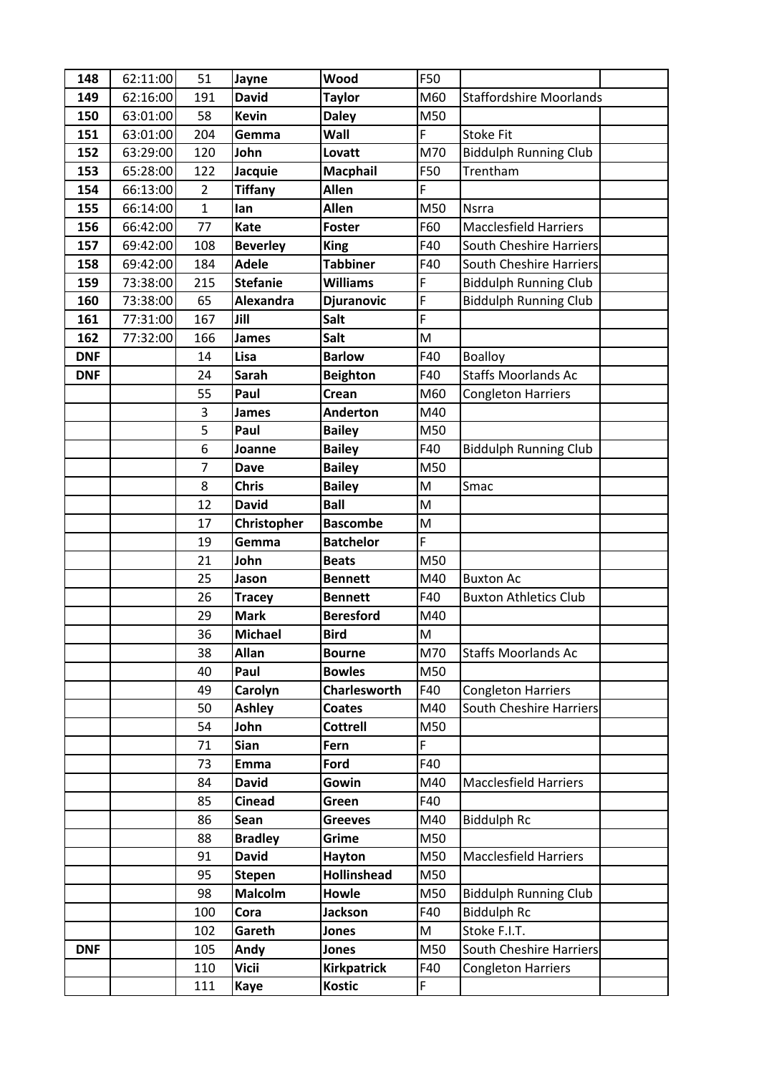| 148        | 62:11:00 | 51             | Jayne           | Wood                | F50          |                                |
|------------|----------|----------------|-----------------|---------------------|--------------|--------------------------------|
| 149        | 62:16:00 | 191            | <b>David</b>    | <b>Taylor</b>       | M60          | <b>Staffordshire Moorlands</b> |
| 150        | 63:01:00 | 58             | <b>Kevin</b>    | <b>Daley</b>        | M50          |                                |
| 151        | 63:01:00 | 204            | Gemma           | Wall                | F            | <b>Stoke Fit</b>               |
| 152        | 63:29:00 | 120            | John            | Lovatt              | M70          | <b>Biddulph Running Club</b>   |
| 153        | 65:28:00 | 122            | Jacquie         | <b>Macphail</b>     | F50          | Trentham                       |
| 154        | 66:13:00 | $\overline{2}$ | <b>Tiffany</b>  | <b>Allen</b>        | F            |                                |
| 155        | 66:14:00 | $\mathbf{1}$   | lan             | Allen               | M50          | <b>Nsrra</b>                   |
| 156        | 66:42:00 | 77             | Kate            | <b>Foster</b>       | F60          | <b>Macclesfield Harriers</b>   |
| 157        | 69:42:00 | 108            | <b>Beverley</b> | <b>King</b>         | F40          | <b>South Cheshire Harriers</b> |
| 158        | 69:42:00 | 184            | <b>Adele</b>    | <b>Tabbiner</b>     | F40          | South Cheshire Harriers        |
| 159        | 73:38:00 | 215            | <b>Stefanie</b> | <b>Williams</b>     | F            | <b>Biddulph Running Club</b>   |
| 160        | 73:38:00 | 65             | Alexandra       | <b>Djuranovic</b>   | $\mathsf{F}$ | <b>Biddulph Running Club</b>   |
| 161        | 77:31:00 | 167            | Jill            | Salt                | F            |                                |
| 162        | 77:32:00 | 166            | <b>James</b>    | Salt                | M            |                                |
| <b>DNF</b> |          | 14             | Lisa            | <b>Barlow</b>       | F40          | <b>Boalloy</b>                 |
| <b>DNF</b> |          | 24             | <b>Sarah</b>    | <b>Beighton</b>     | F40          | <b>Staffs Moorlands Ac</b>     |
|            |          | 55             | Paul            | Crean               | M60          | <b>Congleton Harriers</b>      |
|            |          | 3              | <b>James</b>    | <b>Anderton</b>     | M40          |                                |
|            |          | 5              | Paul            | <b>Bailey</b>       | M50          |                                |
|            |          | 6              | Joanne          | <b>Bailey</b>       | F40          | <b>Biddulph Running Club</b>   |
|            |          | $\overline{7}$ | <b>Dave</b>     | <b>Bailey</b>       | M50          |                                |
|            |          | 8              | <b>Chris</b>    | <b>Bailey</b>       | M            | Smac                           |
|            |          | 12             | <b>David</b>    | <b>Ball</b>         | M            |                                |
|            |          | 17             | Christopher     | <b>Bascombe</b>     | M            |                                |
|            |          | 19             | Gemma           | <b>Batchelor</b>    | F            |                                |
|            |          | 21             | John            | <b>Beats</b>        | M50          |                                |
|            |          | 25             | Jason           | <b>Bennett</b>      | M40          | <b>Buxton Ac</b>               |
|            |          | 26             | <b>Tracey</b>   | <b>Bennett</b>      | F40          | <b>Buxton Athletics Club</b>   |
|            |          | 29             | <b>Mark</b>     | <b>Beresford</b>    | M40          |                                |
|            |          | 36             | <b>Michael</b>  | <b>Bird</b>         | M            |                                |
|            |          | 38             | <b>Allan</b>    | <b>Bourne</b>       | M70          | <b>Staffs Moorlands Ac</b>     |
|            |          | 40             | Paul            | <b>Bowles</b>       | M50          |                                |
|            |          | 49             | Carolyn         | <b>Charlesworth</b> | F40          | <b>Congleton Harriers</b>      |
|            |          | 50             | <b>Ashley</b>   | <b>Coates</b>       | M40          | <b>South Cheshire Harriers</b> |
|            |          | 54             | John            | <b>Cottrell</b>     | M50          |                                |
|            |          | 71             | <b>Sian</b>     | Fern                | F            |                                |
|            |          | 73             | <b>Emma</b>     | Ford                | F40          |                                |
|            |          | 84             | <b>David</b>    | Gowin               | M40          | <b>Macclesfield Harriers</b>   |
|            |          | 85             | <b>Cinead</b>   | Green               | F40          |                                |
|            |          | 86             | Sean            | <b>Greeves</b>      | M40          | <b>Biddulph Rc</b>             |
|            |          | 88             | <b>Bradley</b>  | Grime               | M50          |                                |
|            |          | 91             | <b>David</b>    | Hayton              | M50          | <b>Macclesfield Harriers</b>   |
|            |          | 95             | <b>Stepen</b>   | <b>Hollinshead</b>  | M50          |                                |
|            |          | 98             | <b>Malcolm</b>  | <b>Howle</b>        | M50          | <b>Biddulph Running Club</b>   |
|            |          | 100            | Cora            | <b>Jackson</b>      | F40          | <b>Biddulph Rc</b>             |
|            |          | 102            | Gareth          | Jones               | M            | Stoke F.I.T.                   |
| <b>DNF</b> |          | 105            | Andy            | Jones               | M50          | <b>South Cheshire Harriers</b> |
|            |          | 110            | <b>Vicii</b>    | <b>Kirkpatrick</b>  | F40          | <b>Congleton Harriers</b>      |
|            |          | 111            | <b>Kaye</b>     | <b>Kostic</b>       | F            |                                |